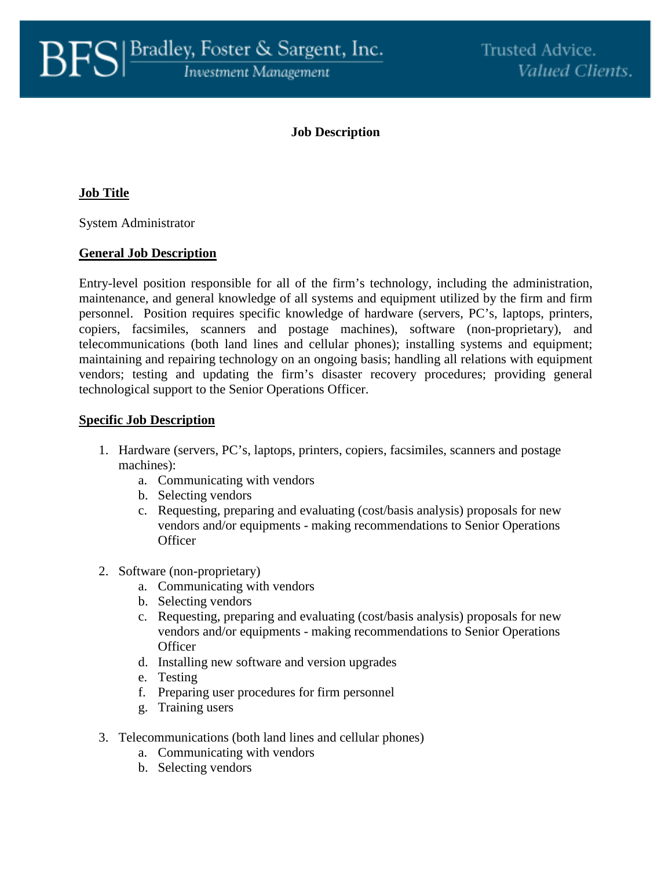# **Job Description**

# **Job Title**

System Administrator

### **General Job Description**

Entry-level position responsible for all of the firm's technology, including the administration, maintenance, and general knowledge of all systems and equipment utilized by the firm and firm personnel. Position requires specific knowledge of hardware (servers, PC's, laptops, printers, copiers, facsimiles, scanners and postage machines), software (non-proprietary), and telecommunications (both land lines and cellular phones); installing systems and equipment; maintaining and repairing technology on an ongoing basis; handling all relations with equipment vendors; testing and updating the firm's disaster recovery procedures; providing general technological support to the Senior Operations Officer.

### **Specific Job Description**

- 1. Hardware (servers, PC's, laptops, printers, copiers, facsimiles, scanners and postage machines):
	- a. Communicating with vendors
	- b. Selecting vendors
	- c. Requesting, preparing and evaluating (cost/basis analysis) proposals for new vendors and/or equipments - making recommendations to Senior Operations **Officer**
- 2. Software (non-proprietary)
	- a. Communicating with vendors
	- b. Selecting vendors
	- c. Requesting, preparing and evaluating (cost/basis analysis) proposals for new vendors and/or equipments - making recommendations to Senior Operations **Officer**
	- d. Installing new software and version upgrades
	- e. Testing
	- f. Preparing user procedures for firm personnel
	- g. Training users
- 3. Telecommunications (both land lines and cellular phones)
	- a. Communicating with vendors
	- b. Selecting vendors